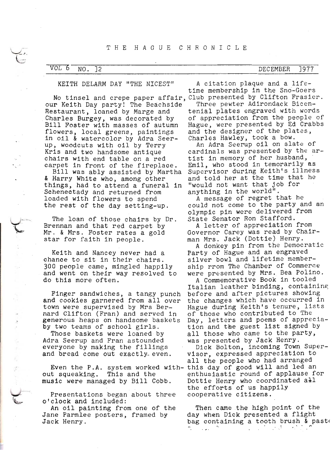### KEITH DELARM DAY "THE NICEST"

No tinsel and crepe paper affair, Club presented by Clifton Frasier.<br>
our Keith Day party! The Beachside Three pewter Adirondack Bicenour Keith Day party! The Beachside<br>Restaurant, loaned by Marge and<br>Charles Burgey, was decorated by Bill Foster with masses of autumn<br>flowers, local greens, paintings<br>in oil & watercolor by Adra Seerup, woodcuts wlth o11 by Terry Krls and two handsome antique chalrs wlth end table on a red

Bill was ably assisted by Martha<br>& Harry White who, among other things, had to attend a funeral in Schenectady and returned from loaded with flowers to spend<br>the rest of the day setting-up.

The loan of those chalrs by Dr. Brennan and that red carpet by<br>Mr. & Mrs. Foster rates a gold<br>star for faith in people.

Kelth and Nancey never had a ehance to s1t 1n thelr chalrs. J00 people came, mlngled happlly and went on thelr way resolved to do thls more often.

Finger sandwiches, a tangy punch<br>and cookies garnered from all over town were supervlsed by Mrs Bernard Cllfton (Fran) and senved 1n

generous heaps on handsome baskets<br>by two teams of school girls.<br>Those baskets were loaned by<br>Adra Seerup and Fran astounded<br>everyone by making the fillings and bread come out exactly- even.

out squeaklng. Thls and the nuslc were managed by 8111 Cobb.

Presentatlons began about three o'clock and included:

 $\overline{\mathbb{C}}$ 

 $\frac{1}{2}$ 

An oil painting from one of the Jane Parmlee posters, framed by Jack Henry.

A citatlon plaque and a l1fetlme membershlp 1n the Sno-Goers

Three pewter Adirondack Bicentenial plates engraved with words of appreclatlon from the people of Hague, were presented by Ed Crabbs and the designer of the plates, Charles Hawley, took a bow.

An Adra Seerup oil on slate of cardinals was presented by the artist in memory of her husband, Emil, who stood in temorarily as Supervisor during Keith's illness and told her at the tlme that he "would not want that job for anything in the world".

A message of regret that be could not come to the PartY and an olymplc p1n were dellvered fron State Senator Ron Stafford.

A letter of appreciation from Governor Carey was read by Chairman Mrs. Jack (Dottle) Henry.

A donkey pin from the Democratic Party of Hague and an engraved sllver bowl and l1fet1me membershlp rrom The Chamber of Commerce were presented by Mrs. Bea Polino.<br>A Commemorative Book in tooled

Italian leather binding, containing<br>before and after pictures showing the changes which have occurred in Hague during Keith's tenure, lists of those who contrlbuted to The Day, letters and poems of appreciation and the guest list signed by all those who came to the party, was presented by Jack HenrY. Dick Bolton, incoming Town Supervisor, expressed appreciation to

Even the P.A. system worked with- this day of good will and led an all the people who had arranged enthusiastlc round of applause for Dottie Henry who coordinated  $a \pm 1$ the efforts of us happily cooperatlve cltlzens. .

> Then came the high point of the<br>day when Dick presented a flight bag containing a tooth brush & paste  $\gamma_{\rm c} = 1.21$  $\mathbf{v} = \mathbf{v}$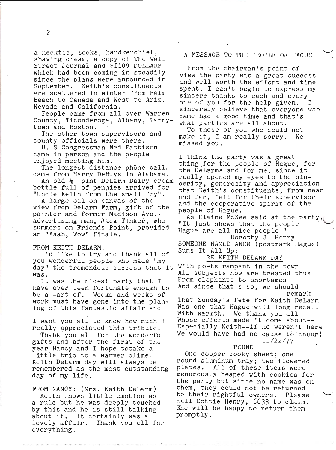a necktie, socks, handkerchief,<br>shaving cream, a copy of the Wall Street Journal and \$1100 DOLLARS which had been coming in steadily<br>since the plans were announced in September. Keith's constituents are scattered 1n winter from Palm Beach to Canada and West to Arlz. Nevada and Callfornla.

People came from all over Warren County, Ticonderoga, Albany, Tarry-<br>town and Boston.

The other town supervisors and county officials were there.

U. S Congressman Ned Pattlson came 1n person and the people enJoyed meetlng h1m.

The longest-distance phone call. eame from Harry DeBuys 1n Alabama.

An old  $\frac{1}{2}$  pint DeLarm Dairy cream<br>bottle full of pennies arrived for<br>"Uncle Keith from the small fry".<br>A large oil on canvas of the

view from DeLarm Farm, gift of the painter and former Madison Ave. advertising man, Jack Tinker; who summers on Frlends Polnt, provlded an "Aaah, Wow" finale.

FROM KEITH DELARM:<br>I'd like to try and thank all of you wonderful people who made "my<br>day" the tremendous success that it

was. It was the nicest party that I have ever been fortunate enough to be a -art of. Wecks and weeks of work must have gone into the plan-<br>ing of this fantastic affair and

# I want you all to know how much I

really appreciated this tribute.<br>Thabk you all for the wonderful gifts and after the first of the year Nancy and I hope totake a llttle trlp to a warmer cllme. Kelth Delarm day w111 always be remembered as the most outstandlng day of my l1fe.

# FROM NANCY: (Mrs. Keith DeLarm)<br>Keith shows little emotion as

a rule but he was deeply touehed by this and he is still talking<br>about it. It certainly was a<br>lovely affair. Thank you all f Thank you all for everythlng.

## A MESSAGE TO THE PEOPLE OF HAGUE

From the chairman's point of view the party was a great success and well worth the effort and tlme spent. I can't begin to express my slncere thanks to each and every one of you for the help given. I<br>sincerely believe that everyone who came had a good time and that's what partles are all about.

To those of you who could not make 1t, I am really sorry. We mlssed you.

I think the party was a great<br>thing for the people of Hague, for<br>the DeLarms and for me, since it<br>really opened my eyes to the sin-<br>cerity, generosity and appreciation<br>that Keith's constituents, from near and far, felt for thelr supervlsor and the cooperatlve splrit of the

people of Hague.<br>As Elaine McKee said at the party,<br>"It just shows that the people Hague are all nice people." Dorothy J. Henry SOMEONE NAMED ANON (postmark Hague)<br>Sums It All Up: Sums It All Up:

## RE KEITH DELARM DAY

Wlth poets rampant 1n the town A1I subjects now are treated thus From elephants to shortages<br>And since that's so, we should

remark<br>That Sunday's fete for Keith DeLarm Was one that Hague will long recall<br>With warmth. We thank you all Whose efforts made it come about--<br>Especially Keith--if he weren't here We would have had no cause to cheer! tr/22/77

#### FOUND

One copper cooky sheet; one round aluminum tray; two flowered plates. All of these items were generously heaped with cookies for the party but since no name was on them, they could not be returned to their rightful owners. Please call Dottie Henry, 6633 to claim.<br>She will be happy to return them<br>promptly.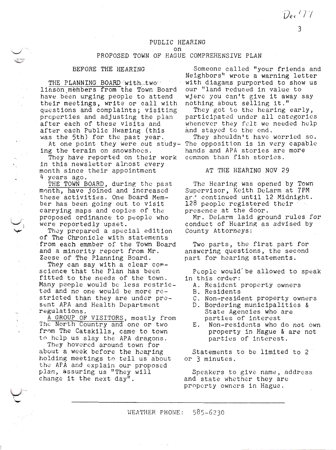Dec 477

### PUBLIC HEARING on

# PROPOSED TOWN OF HACUE COMPREHENSIVE PLAN

#### BEFORE THE HEARTNG

 $\leftarrow$ 

س<br>منبه

THE PLANNING BOARD with.two. liason members from the Town Board have been urging people to attend<br>their meetings, write or call with<br>questions and complaints; visiting properties and adjusting the plan<br>after each of these visits and<br>after each Public Hwaring (this<br>was the 5th) for the past year.

At one point they were out study-<br>ing the terain on snowshoes.

They have reported on thelr work 1n this newsletter alrost every<br>  $\frac{4}{4}$  years ago.<br>
THE TOWN BOARD, during the past<br>
month, have joined and increased

these activities. One Board Member has been going out to visit carrylng maps and coples of the proposed ordinance to people who<br>were reportedly upset.

They prepared a special edition of The Chronicle with statements from eaeh emmber of the Town Board and a minority report from Mr.

Zeese of The Planning Board.<br>They can say with a clear corscience that the Plan has been<br>fitted to the needs of the town.<br>Many people would be less restricted and no one would be more re-<br>stricted than they are under pre-<br>sent APA and Health Department<br>regulations.<br>A GROUP OF VISITORS, mostly from<br>The North Country and one or two

from The Catskills, came to town<br>to help us slay the APA dragons.<br>They hovered around town for<br>about a week before the hearing holding meetings to tell us about<br>the APA and explain our proposed<br>'plan, assuring us "They will change it the next day".

Someone called "your friends and Neighbors" wrote a warning letter with diagams purported to show us our "land reduced in value to wjere you can't give it away say

nothing about selling it."<br>They got to the hearing early, participated under all categories whenever they felt we needed help and stayed to the end.

They shouldn't have worried so. The opposition is in very capable hands and APA storles are more ccmmon than fish stories.

## AT THE HEARING NOV 29

The Hearing was opened by Town Supervisor, Keith DeLarm at 7PM ar.' continued until 12 Midnight.<br>128 people registered their presence at the door.

Mr. Delarm la1d ground rules for conduct of Hearing as advlsed bY County Attorneys:

Two parts, the flrst part for answerlng questlons, the second part for hearlng statements.

People would'be allowed to speak

- ln thls order: A. Resldcnt property owners B. Resldents
	-
	- C. Non.-resident property owners
	- D. Borderlng munlclpallties & State Agencles who are partles of lnterest E. Non-resldents who do not own
	- property ln Hague & are not parbles of interest.

Statements to be llmlted to 2 or 3 mlnutes.

Speakers to glve name, address and state whether they are propcrty owners ln Hague.

WEATHER PHONE:  $585-6230$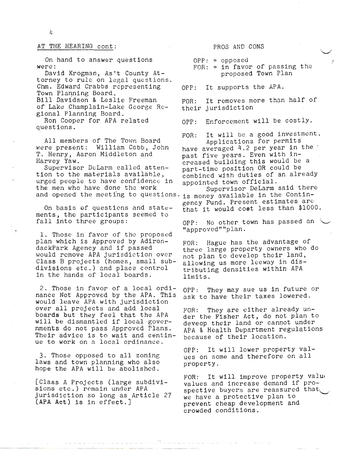#### AT THE HEARTNC cont:

0n hand to answer questlons were:

Davld Krogman, Astt County Attorney to rule on lega1 questions. Chm. Edward Crabbs rcpresentlng Town Plannlng Board. Bill Davidson & Leslie Freeman of Lake Champlain-Lake George Reglonal Planning Board.

Ron Cooper for APA related questlons.

All members of The Town Board were present: William Cobb, John T. Henry, Aaron Middleton and Harvey Yaw.

Supervisor DeLarm called atten-<br>tion to the materials available, urged people to have confidence in the men who have done the work

On basis of questions and statements, the partlcipants seemed to fall into three groups:

1. Those in favor of the proposed<br>plan which is Approved by Adiron-<br>dackPark Agency and if passed would remove APA jurisdiction over Class B projects (homes, sma1l subdivlslons etc.) and place control in the hands of local boards.

2, Those ln favor of a local ordinance Not Approved by the APA. Thls would leave APA with jurisdietion over all projects and add 1ocal boards but they feel that the APA w111 be dismantled 1f local governments do not pass Approved Plans. Their advice is to wait and centinue to work on a local ordinance.

3. Those opposed to all zonlng laws and town planning who also hope the APA will be abolished.

[Class A Projects (large subdivi-<br>sions etc.) remain under APA jurisdiction so long as Article 27 (APA Act) is in effect.]

PROS AND CONS

 $OPP: = opposed$ 

FOR:  $=$  in favor of passing the proposed Town Plan

t

OPP: It supports the  $APA$ .

FOR: It removes nore than half of thelr jurisdlctlon

OPP: Enforcement will be costly.

FOR: It will be a good investment. Applications for permits

have averaged 4.2 per year in the<br>past five years. Even with increased building this would be a part-time position OR could be combined with duties of an already appointed town official.

and opened the meeting to questions. is money available in the Contin-Supervisor DeLarm said there gency Fund. Present estimates are that it would cost less than \$1000.

> OPP: No other town has passed an "approved""plan.

FOR: Hague has the advantage of three large property owners who do not plan to develop their land, allowing us more leeway in distributing densities within APA l1mits.

OPP: They may sue us in future or ask to have their taxes lowered.

FOR: They are either already under the Flsher Act, do not Plan to deveop thelr land or cannot under APA & Health Department regulations because of thelr 1ocat1on.

OPP: It will lower property values on some and therefore on all property.

FOR: It will improve property value values and increase demand if prospective buyers are reassured that we have a protective plan to prevent cheap development and crowded condltlons.

4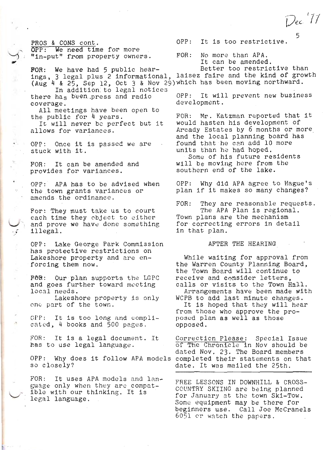Dec 11

5

PROS & CONS cont.<br>
OPP: We need time for more<br>
"in-put" from property owners.

 $\rightarrow$ 

 $\mathcal{A}$ 

.<br>.<br>.

 $\bar{\mathbf{x}}$ 

"In-put" from property owners. FOR: No more than APA.<br>
It can be amended.<br>
FOR: We have had 5 public hear-<br>
Ings, 3 legal plus 2 informational, laisez faire and the kind of growth<br>
(Aug  $4$  & 25, Sep 12, Oct 3 & Nov 29) w

there has been press and radio

coverage.<br>All meetings have been open to<br>the public for 4 years.<br>It will never be perfect but it<br>allows for variances.

OPP: Once it is passed we are stuck with it.

FOR: It can be amended and<br>provides for variances. provides for variances.

OPP: APA has to be advised when the town grants variances or amends the ordinance.

For: They must take us to court<br>each time they object to either and prove we have done something illegal.

OPP: Lake George Park Commission<br>has protective restrictions on Lakeshore property and are en-<br>forcing them now.

FOR: Our plan supports the LGPC<br>and goes further toward mecting<br>local needs. and goes further toward mecting

Lakeshore property 1s only onc part of the town.

OPP: It is too long and compli-<br>cated, 4 books and 500 pages,

FOR: It is a legal document. It<br>has to use legal language.

OPP: Why does it follow APA models so closely?

FOR: It uses APA models and language only when they are compat-<br>ible with our thinking. It is<br>legal language.

OPP: It is too restrictive.

FOR: Mr. Katzman reported that 1t would hasten his develcpment of Arcady Estates by 6 nonths or more and the local plannlng board has found that he can add 10 more<br>units than he had hoped.<br>Some of his future residents<br>will be moving here from the. southern end of the lake.

OPP: Why did APA agree to Hague's<br>plan if it makes so many changes?

FOR: They are reasonable requests.<br>The APA Plan is regional.<br>Town plans are the mechanism<br>for correcting errors in detail

AFTER THE HEARING

1n that p1an.

While waiting for approval from<br>the Warren County Planning Board,<br>the Town Board will continue to<br>receive and consider letters,<br>calls or visits to the Town Hall.

Arrangements have been made with

WCPB to add last minute changes.<br>It is hoped that they will hear<br>from those who approve the pro-<br>posed plan as well as those opposed.

Correction Please: Special Issue<br>of The Chronicle in Nov should be<br>dated Nov. 23. The Board members<br>completed their statements on that<br>date. It was mailed the 25th.

FREE LESSONS IN DOWNHILL & CROSS-COUNTRY SKIING are being planned<br>for January at the town Ski-Tow.<br>Some equipment may be there for beginners use. Call Joe McCranels<br>6051 or watch the papers.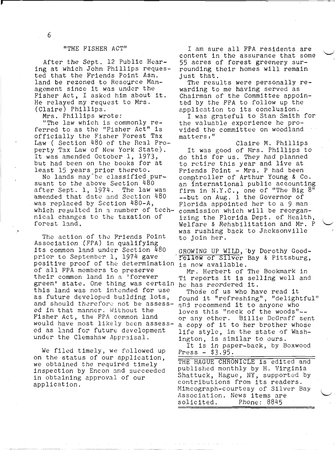#### "THE FISHER ACT"

After the Sept. 12 Public Hearing at which John Phillips requested that the Friends Point Asn. land be rezoned to Resource Management since it was under the Fisher Act, I asked him about it. He relayed my request to Mrs. (Claire) Phillips.

Mrs. Phillips wrote:

"The law which is commonly referred to as the "Fisher Act" is officially the Fisher Forest Tax Law ( Section 480 of the Real Property Tax Law of New York State). It was amended October 1, 1973, but had been on the books for at least 15 years prior thereto.

No lands may be classified pursuant to the above Section 480 after Sept. 1, 1974. The law was amended that date and Section 480 was replaced by Section 480-A, which resulted in a number of technical changes to the taxation of forest land.

The action of the Friends Point Association (FPA) in qualifying its common land under Section 480 prior to September 1, 1974 gave positive proof of the determination of all FPA members to preserve their common land in a 'forever green' state. One thing was certain he has reordered it. this land was not intended for use as future developed building lots, and should therefore not be assessed in that manner. Without the Fisher Act, the FPA common land would have most likely been assessed as land for future development under the Clemshaw Appraisal.

We filed timely, we followed up on the status of our application, we obtained the required timely inspection by Encon and succeeded in obtaining approval of our application.

I am sure all FPA residents are content in the assurance that some 55 acres of forest greenery surrounding their homes will remain just that.

The results were personally rewarding to me having served as Chairman of the Committee appointed by the FPA to follow up the application to its conclusion.

I was grateful to Stan Smith for the valuable experience he provided the committee on woodland matters."

Claire M. Phillips It was good of Mrs. Phillips to do this for us. They had planned to retire this year and live at Friends Point - Mrs. P had been comptroller of Arthur Young & Co. an international public accounting firm in N.Y.C., one of "The Big  $8^{\overline{n}}$ --but on Aug. 1 the Governor of Florida appointed her to a 9 man commission which will be reorganizing the Florida Dept. of Health, Welfare & Rehabilitation and Mr. P was rushing back to Jacksonville to join her.

GROWING UP WILD, by Dorothy Good-Fellow of Silver Bay & Pittsburg, is now available.

Mr. Herbert of The Bookmark in Ti reports it is selling well and

Those of us who have read it found it "refreshing", "delightful" and recommend it to anyone who loves this "neck of the woods" -or any other. Billie DeGraff sent a copy of it to her brother whose life style, in the state of Washington, is similar to ours. It is in paper-back, by Boxwood

Press  $-$  \$3.95.

THE HAGUE CHRONICLE is edited and published monthly by H. Virginia Shattuck, Hague, NY, supported by contributions from its readers. Mimeograph-courtesy of Silver Bay Association. News items are solicited. Phone: 8845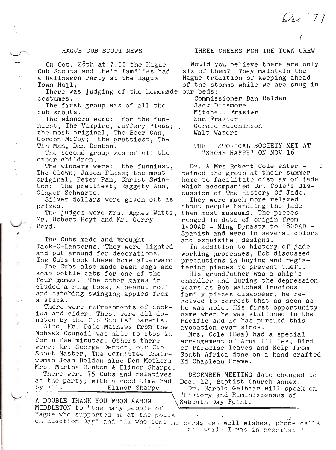Dec 77

## HAGUE CUB SCOUT NEWS

On Oct. 28th at 7:00 the Hague Cub Scouts and their families had a Halloween Party at the Hague Town Hall.

There was judging of the homemade our beds: costumes.

The first group was of all the cub scouts.

The winners were: for the funniest, The Vampire, Jeffery Plass; the most original, The Beer Can, Gordon McCoy; the prettiest, The Tin Man, Dan Denton.

The second group was of all the other children.

The winners were: the funniest, The Clown, Jason Plass; the most original, Peter Pan, Christ Swinton; the prettiest, Raggety Ann, Ginger Schwarte.

Silver dollars were given out as prizes.

The judges were Mrs. Agnes Watts, Mr. Robert Hoyt and Mr. Gerry  $Bryd.$ 

The Cubs made and brought Jack-O-Lanterns. They were lighted and put around for decorations. The Cubs took these home afterward.

The Cubs also made bean bags and soap bottle cats for one of the four games. The other games in cluded a ring toss, a peanut roll and catching swinging apples from a stick.

There were refreshments of cookies and cider. These were all donated by the Cub Scouts' parents.

Also, Mr. Dale Mathews from the Mohawk Council was able to stop in for a few minutes. Others there were: Mr. George Denton, our Cub Scout Master, The Committee Chairwoman Joan Belden also Den Mothers Mrs. Martha Denton & Elinor Sharpe.

There were 75 Cubs and relatives at the party; with a good time had by all. Elinor Sharpe

A DOUBLE THANK YOU FROM AARON MIDDLETON to "the many people of Hague who supported me at the polls

# THREE CHEERS FOR THE TOWN CREW

Would you believe there are only six of them? They maintain the Hague tradition of keeping ahead of the storms while we are snug in

Commissioner Dan Belden Jack Dunsmore Mitchell Frasier Sam Frasier Gerald Hutchinson Walt Waters

THE HISTORICAL SOCIETY MET AT "SHORE HAPPY" ON NOV 16

Dr. & Mrs Robert Cole enter tained the group at their summer home to facilitate display of jade which accompanied Dr. Cole's discussion of The History Of Jade.

They were much more relaxed about people handling the jade than most museums. The pieces ranged in date of origin from 1400AD - Ming Dynasty to 1800AD -Spanish and were in several colors and exquisite designs.

In addition to history of jade working processes, Bob discussed precautions in buying and registering pieces to prevent theft.

His grandfather was a ship's chandler and during the depression vears as Bob watched ! recious family pieces disappear, he resolved to correct that as soon as he was able. His first opportunity came when he was stationed in the Pacific and he has pursued this avocation ever since.

Mrs. Cole (Bea) had a special arrangement of Arum lillies, Bird of Paradise leaves and Kelp from South Africa done on a hand crafted Ed Chapleau Frame.

DECEMBER MEETING date changed to Dec. 12, Baptist Church Annex.

Dr. Harold Gelhaar will speak on "History and Reminiscenses of Sabbath Day Point.

on Election Day" and all who sent me cards get well wishes, phone calls whose while I was in hospital."